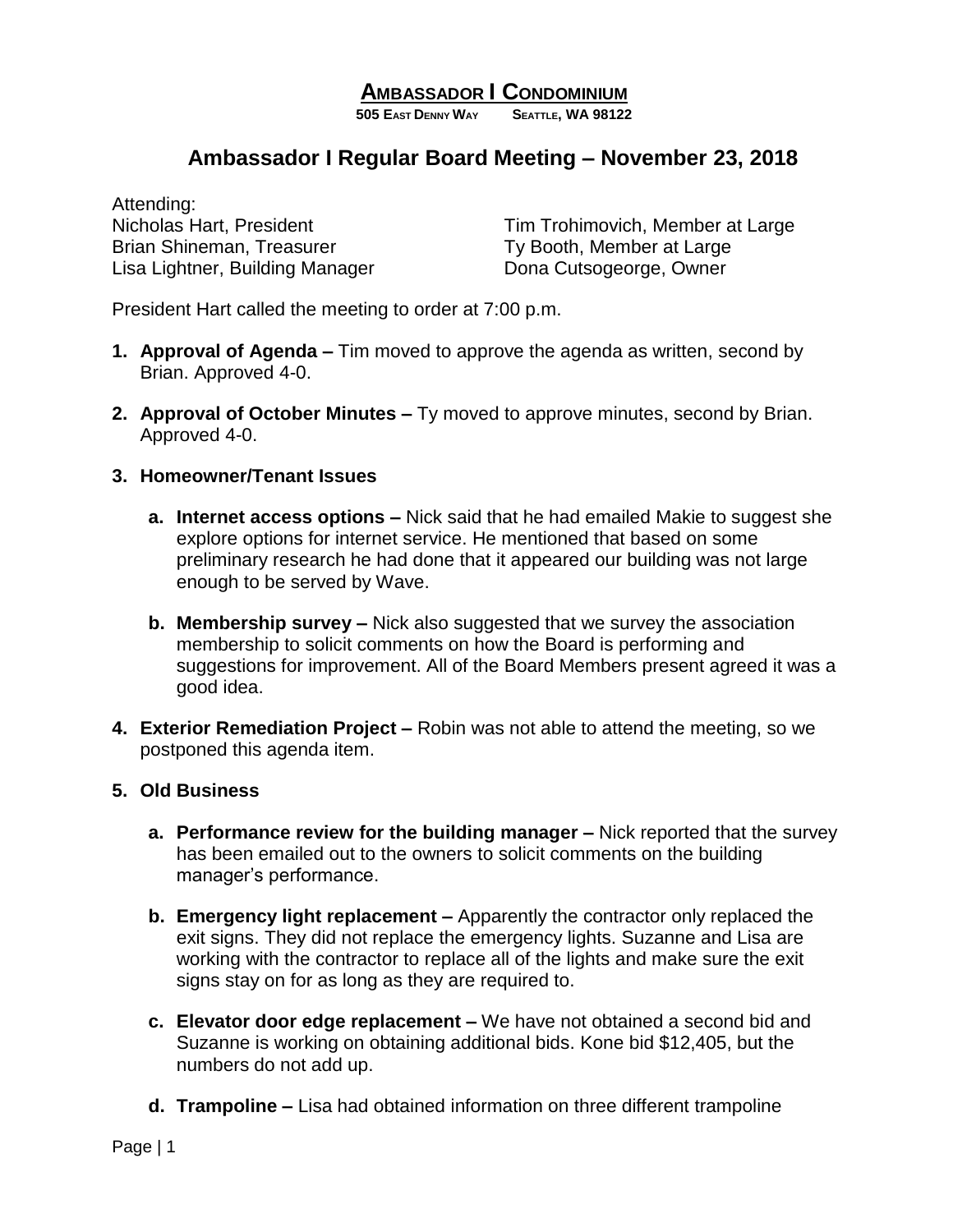# **AMBASSADOR I CONDOMINIUM**

**505 EAST DENNY WAY SEATTLE, WA 98122**

# **Ambassador I Regular Board Meeting – November 23, 2018**

Attending: Brian Shineman, Treasurer Ty Booth, Member at Large Lisa Lightner, Building Manager Dona Cutsogeorge, Owner

Nicholas Hart, President Tim Trohimovich, Member at Large

President Hart called the meeting to order at 7:00 p.m.

- **1. Approval of Agenda –** Tim moved to approve the agenda as written, second by Brian. Approved 4-0.
- **2. Approval of October Minutes –** Ty moved to approve minutes, second by Brian. Approved 4-0.

#### **3. Homeowner/Tenant Issues**

- **a. Internet access options –** Nick said that he had emailed Makie to suggest she explore options for internet service. He mentioned that based on some preliminary research he had done that it appeared our building was not large enough to be served by Wave.
- **b. Membership survey –** Nick also suggested that we survey the association membership to solicit comments on how the Board is performing and suggestions for improvement. All of the Board Members present agreed it was a good idea.
- **4. Exterior Remediation Project –** Robin was not able to attend the meeting, so we postponed this agenda item.

### **5. Old Business**

- **a. Performance review for the building manager –** Nick reported that the survey has been emailed out to the owners to solicit comments on the building manager's performance.
- **b. Emergency light replacement –** Apparently the contractor only replaced the exit signs. They did not replace the emergency lights. Suzanne and Lisa are working with the contractor to replace all of the lights and make sure the exit signs stay on for as long as they are required to.
- **c. Elevator door edge replacement –** We have not obtained a second bid and Suzanne is working on obtaining additional bids. Kone bid \$12,405, but the numbers do not add up.
- **d. Trampoline –** Lisa had obtained information on three different trampoline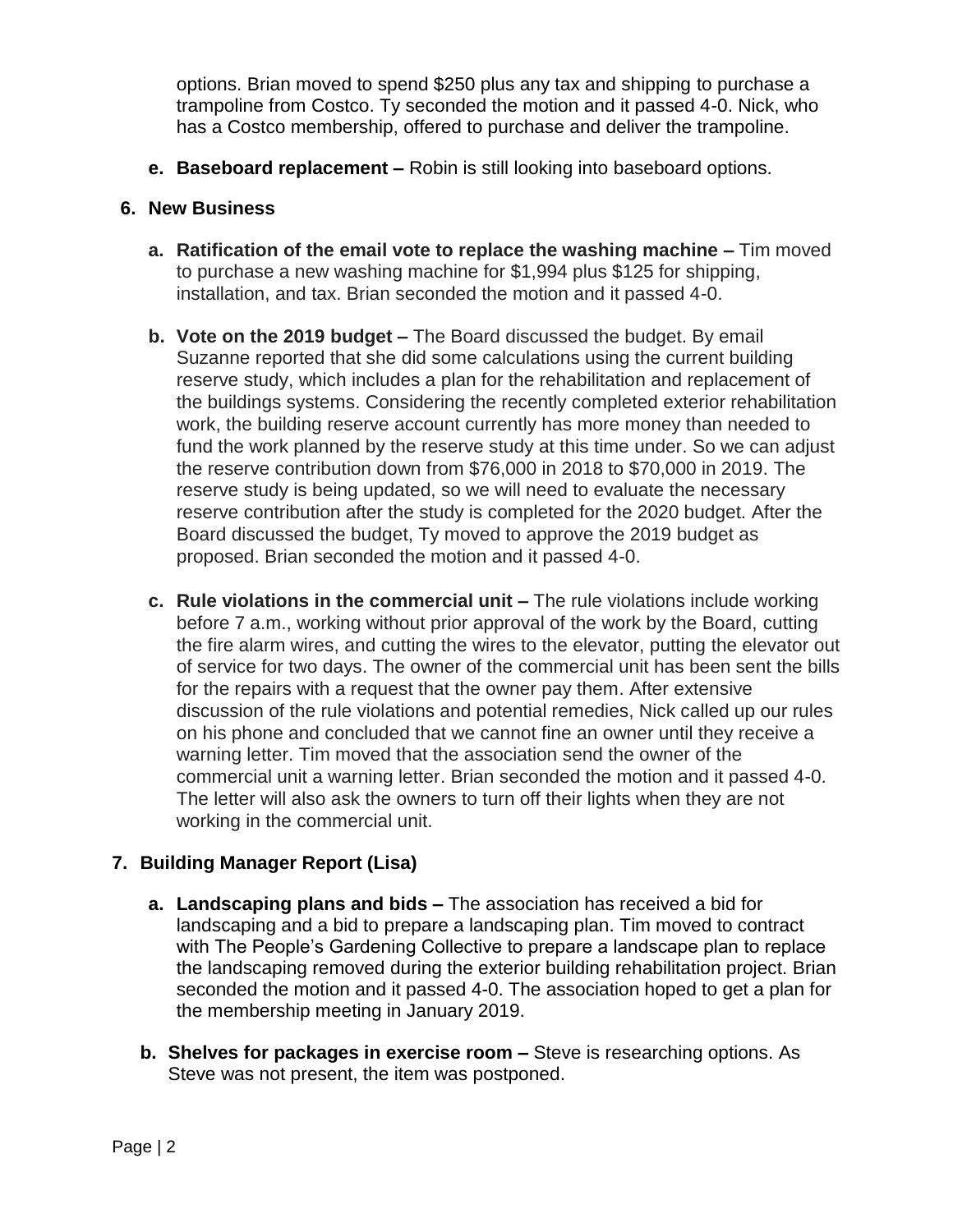options. Brian moved to spend \$250 plus any tax and shipping to purchase a trampoline from Costco. Ty seconded the motion and it passed 4-0. Nick, who has a Costco membership, offered to purchase and deliver the trampoline.

**e. Baseboard replacement –** Robin is still looking into baseboard options.

### **6. New Business**

- **a. Ratification of the email vote to replace the washing machine –** Tim moved to purchase a new washing machine for \$1,994 plus \$125 for shipping, installation, and tax. Brian seconded the motion and it passed 4-0.
- **b. Vote on the 2019 budget –** The Board discussed the budget. By email Suzanne reported that she did some calculations using the current building reserve study, which includes a plan for the rehabilitation and replacement of the buildings systems. Considering the recently completed exterior rehabilitation work, the building reserve account currently has more money than needed to fund the work planned by the reserve study at this time under. So we can adjust the reserve contribution down from \$76,000 in 2018 to \$70,000 in 2019. The reserve study is being updated, so we will need to evaluate the necessary reserve contribution after the study is completed for the 2020 budget. After the Board discussed the budget, Ty moved to approve the 2019 budget as proposed. Brian seconded the motion and it passed 4-0.
- **c. Rule violations in the commercial unit –** The rule violations include working before 7 a.m., working without prior approval of the work by the Board, cutting the fire alarm wires, and cutting the wires to the elevator, putting the elevator out of service for two days. The owner of the commercial unit has been sent the bills for the repairs with a request that the owner pay them. After extensive discussion of the rule violations and potential remedies, Nick called up our rules on his phone and concluded that we cannot fine an owner until they receive a warning letter. Tim moved that the association send the owner of the commercial unit a warning letter. Brian seconded the motion and it passed 4-0. The letter will also ask the owners to turn off their lights when they are not working in the commercial unit.

### **7. Building Manager Report (Lisa)**

- **a. Landscaping plans and bids –** The association has received a bid for landscaping and a bid to prepare a landscaping plan. Tim moved to contract with The People's Gardening Collective to prepare a landscape plan to replace the landscaping removed during the exterior building rehabilitation project. Brian seconded the motion and it passed 4-0. The association hoped to get a plan for the membership meeting in January 2019.
- **b. Shelves for packages in exercise room –** Steve is researching options. As Steve was not present, the item was postponed.